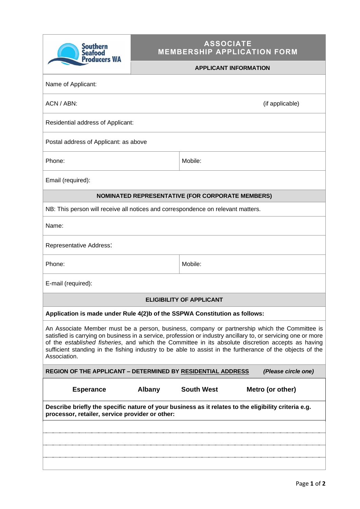| <b>Southern</b><br><b>Seafood</b><br><b>Producers WA</b>                                                                                                                                                                                                                                                                                                                                                                                          | <b>ASSOCIATE</b><br><b>MEMBERSHIP APPLICATION FORM</b> |                   |                  |  |  |  |  |
|---------------------------------------------------------------------------------------------------------------------------------------------------------------------------------------------------------------------------------------------------------------------------------------------------------------------------------------------------------------------------------------------------------------------------------------------------|--------------------------------------------------------|-------------------|------------------|--|--|--|--|
|                                                                                                                                                                                                                                                                                                                                                                                                                                                   | <b>APPLICANT INFORMATION</b>                           |                   |                  |  |  |  |  |
| Name of Applicant:                                                                                                                                                                                                                                                                                                                                                                                                                                |                                                        |                   |                  |  |  |  |  |
| ACN / ABN:<br>(if applicable)                                                                                                                                                                                                                                                                                                                                                                                                                     |                                                        |                   |                  |  |  |  |  |
| Residential address of Applicant:                                                                                                                                                                                                                                                                                                                                                                                                                 |                                                        |                   |                  |  |  |  |  |
| Postal address of Applicant: as above                                                                                                                                                                                                                                                                                                                                                                                                             |                                                        |                   |                  |  |  |  |  |
| Phone:                                                                                                                                                                                                                                                                                                                                                                                                                                            |                                                        | Mobile:           |                  |  |  |  |  |
| Email (required):                                                                                                                                                                                                                                                                                                                                                                                                                                 |                                                        |                   |                  |  |  |  |  |
| <b>NOMINATED REPRESENTATIVE (FOR CORPORATE MEMBERS)</b>                                                                                                                                                                                                                                                                                                                                                                                           |                                                        |                   |                  |  |  |  |  |
| NB: This person will receive all notices and correspondence on relevant matters.                                                                                                                                                                                                                                                                                                                                                                  |                                                        |                   |                  |  |  |  |  |
| Name:                                                                                                                                                                                                                                                                                                                                                                                                                                             |                                                        |                   |                  |  |  |  |  |
| Representative Address:                                                                                                                                                                                                                                                                                                                                                                                                                           |                                                        |                   |                  |  |  |  |  |
| Phone:                                                                                                                                                                                                                                                                                                                                                                                                                                            |                                                        | Mobile:           |                  |  |  |  |  |
| E-mail (required):                                                                                                                                                                                                                                                                                                                                                                                                                                |                                                        |                   |                  |  |  |  |  |
| <b>ELIGIBILITY OF APPLICANT</b>                                                                                                                                                                                                                                                                                                                                                                                                                   |                                                        |                   |                  |  |  |  |  |
| Application is made under Rule 4(2)b of the SSPWA Constitution as follows:                                                                                                                                                                                                                                                                                                                                                                        |                                                        |                   |                  |  |  |  |  |
| An Associate Member must be a person, business, company or partnership which the Committee is<br>satisfied is carrying on business in a service, profession or industry ancillary to, or servicing one or more<br>of the established fisheries, and which the Committee in its absolute discretion accepts as having<br>sufficient standing in the fishing industry to be able to assist in the furtherance of the objects of the<br>Association. |                                                        |                   |                  |  |  |  |  |
| <b>REGION OF THE APPLICANT - DETERMINED BY RESIDENTIAL ADDRESS</b><br>(Please circle one)                                                                                                                                                                                                                                                                                                                                                         |                                                        |                   |                  |  |  |  |  |
| <b>Esperance</b>                                                                                                                                                                                                                                                                                                                                                                                                                                  | <b>Albany</b>                                          | <b>South West</b> | Metro (or other) |  |  |  |  |
| Describe briefly the specific nature of your business as it relates to the eligibility criteria e.g.<br>processor, retailer, service provider or other:                                                                                                                                                                                                                                                                                           |                                                        |                   |                  |  |  |  |  |
|                                                                                                                                                                                                                                                                                                                                                                                                                                                   |                                                        |                   |                  |  |  |  |  |
|                                                                                                                                                                                                                                                                                                                                                                                                                                                   |                                                        |                   |                  |  |  |  |  |
|                                                                                                                                                                                                                                                                                                                                                                                                                                                   |                                                        |                   |                  |  |  |  |  |
|                                                                                                                                                                                                                                                                                                                                                                                                                                                   |                                                        |                   |                  |  |  |  |  |